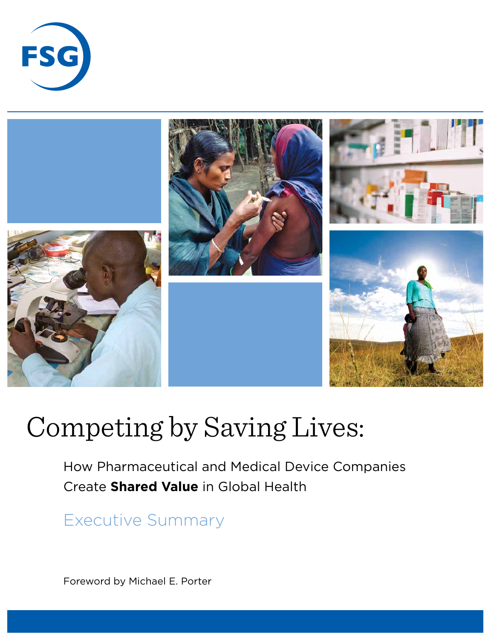



# Competing by Saving Lives:

How Pharmaceutical and Medical Device Companies Create **Shared Value** in Global Health

Executive Summary

Foreword by Michael E. Porter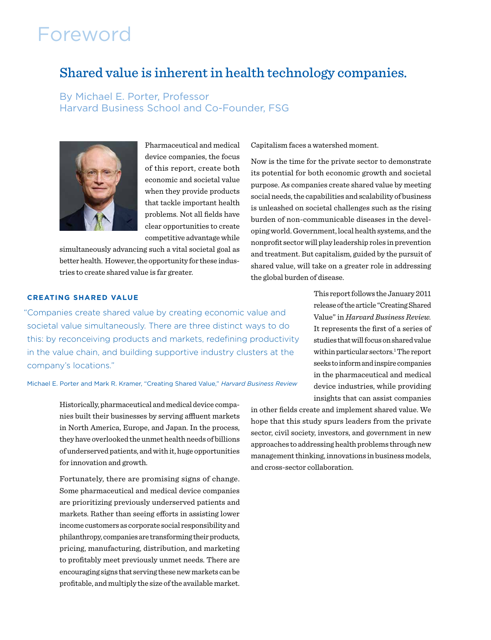# Foreword

### Shared value is inherent in health technology companies.

By Michael E. Porter, Professor Harvard Business School and Co-Founder, FSG



Pharmaceutical and medical device companies, the focus of this report, create both economic and societal value when they provide products that tackle important health problems. Not all fields have clear opportunities to create competitive advantage while

simultaneously advancing such a vital societal goal as better health. However, the opportunity for these industries to create shared value is far greater.

#### Capitalism faces a watershed moment.

Now is the time for the private sector to demonstrate its potential for both economic growth and societal purpose. As companies create shared value by meeting social needs, the capabilities and scalability of business is unleashed on societal challenges such as the rising burden of non-communicable diseases in the developing world. Government, local health systems, and the nonprofit sector will play leadership roles in prevention and treatment. But capitalism, guided by the pursuit of shared value, will take on a greater role in addressing the global burden of disease.

#### **CREATING SHARED VALUE**

"Companies create shared value by creating economic value and societal value simultaneously. There are three distinct ways to do this: by reconceiving products and markets, redefining productivity in the value chain, and building supportive industry clusters at the company's locations."

Michael E. Porter and Mark R. Kramer, "Creating Shared Value," *Harvard Business Review*

Historically, pharmaceutical and medical device companies built their businesses by serving affluent markets in North America, Europe, and Japan. In the process, they have overlooked the unmet health needs of billions of underserved patients, and with it, huge opportunities for innovation and growth.

Fortunately, there are promising signs of change. Some pharmaceutical and medical device companies are prioritizing previously underserved patients and markets. Rather than seeing efforts in assisting lower income customers as corporate social responsibility and philanthropy, companies are transforming their products, pricing, manufacturing, distribution, and marketing to profitably meet previously unmet needs. There are encouraging signs that serving these new markets can be profitable, and multiply the size of the available market.

This report follows the January 2011 release of the article "Creating Shared Value" in *Harvard Business Review.* It represents the first of a series of studies that will focus on shared value within particular sectors.<sup>1</sup> The report seeks to inform and inspire companies in the pharmaceutical and medical device industries, while providing insights that can assist companies

in other fields create and implement shared value. We hope that this study spurs leaders from the private sector, civil society, investors, and government in new approaches to addressing health problems through new management thinking, innovations in business models, and cross-sector collaboration.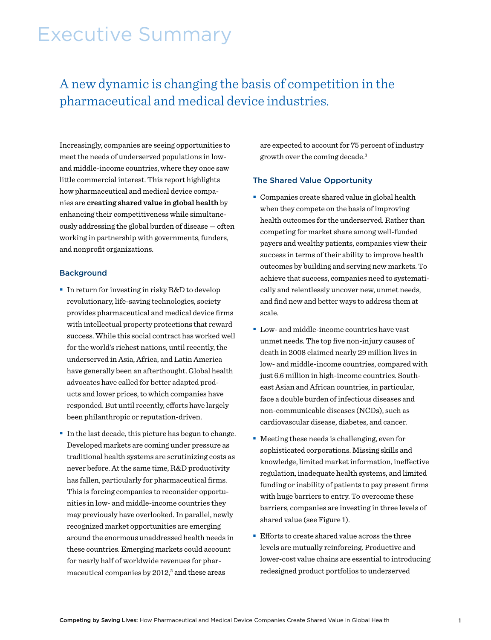# Executive Summary

### A new dynamic is changing the basis of competition in the pharmaceutical and medical device industries.

Increasingly, companies are seeing opportunities to meet the needs of underserved populations in lowand middle-income countries, where they once saw little commercial interest. This report highlights how pharmaceutical and medical device companies are **creating shared value in global health** by enhancing their competitiveness while simultaneously addressing the global burden of disease — often working in partnership with governments, funders, and nonprofit organizations.

#### **Background**

- In return for investing in risky R&D to develop revolutionary, life-saving technologies, society provides pharmaceutical and medical device firms with intellectual property protections that reward success. While this social contract has worked well for the world's richest nations, until recently, the underserved in Asia, Africa, and Latin America have generally been an afterthought. Global health advocates have called for better adapted products and lower prices, to which companies have responded. But until recently, efforts have largely been philanthropic or reputation-driven.
- In the last decade, this picture has begun to change. Developed markets are coming under pressure as traditional health systems are scrutinizing costs as never before. At the same time, R&D productivity has fallen, particularly for pharmaceutical firms. This is forcing companies to reconsider opportunities in low- and middle-income countries they may previously have overlooked. In parallel, newly recognized market opportunities are emerging around the enormous unaddressed health needs in these countries. Emerging markets could account for nearly half of worldwide revenues for pharmaceutical companies by  $2012$ ,<sup>2</sup> and these areas

are expected to account for 75 percent of industry growth over the coming decade.3

#### The Shared Value Opportunity

- Companies create shared value in global health when they compete on the basis of improving health outcomes for the underserved. Rather than competing for market share among well-funded payers and wealthy patients, companies view their success in terms of their ability to improve health outcomes by building and serving new markets. To achieve that success, companies need to systematically and relentlessly uncover new, unmet needs, and find new and better ways to address them at scale.
- **Low- and middle-income countries have vast** unmet needs. The top five non-injury causes of death in 2008 claimed nearly 29 million lives in low- and middle-income countries, compared with just 6.6 million in high-income countries. Southeast Asian and African countries, in particular, face a double burden of infectious diseases and non-communicable diseases (NCDs), such as cardiovascular disease, diabetes, and cancer.
- Meeting these needs is challenging, even for sophisticated corporations. Missing skills and knowledge, limited market information, ineffective regulation, inadequate health systems, and limited funding or inability of patients to pay present firms with huge barriers to entry. To overcome these barriers, companies are investing in three levels of shared value (see Figure 1).
- **Efforts to create shared value across the three** levels are mutually reinforcing. Productive and lower-cost value chains are essential to introducing redesigned product portfolios to underserved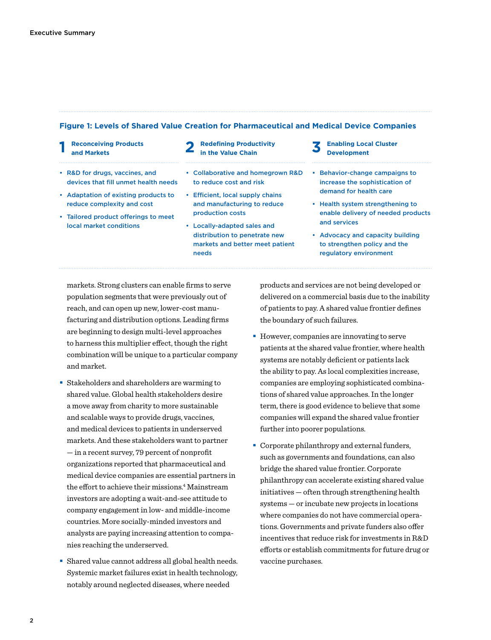#### **Figure 1: Levels of Shared Value Creation for Pharmaceutical and Medical Device Companies**

- **1 Reconceiving Products**
- Reconceiving Products **2 Redefining Productivity 3 Enabling Local Cluster 1 2 and Markets 2 in the Value Chain 3 3 Development**
- • R&D for drugs, vaccines, and devices that fill unmet health needs
- • Adaptation of existing products to reduce complexity and cost
- • Tailored product offerings to meet local market conditions
- to reduce cost and risk • Efficient, local supply chains

• Collaborative and homegrown R&D

- and manufacturing to reduce production costs
- • Locally-adapted sales and distribution to penetrate new markets and better meet patient needs
- **Development**
- • Behavior-change campaigns to increase the sophistication of demand for health care
- • Health system strengthening to enable delivery of needed products and services
- • Advocacy and capacity building to strengthen policy and the regulatory environment

markets. Strong clusters can enable firms to serve population segments that were previously out of reach, and can open up new, lower-cost manufacturing and distribution options. Leading firms are beginning to design multi-level approaches to harness this multiplier effect, though the right combination will be unique to a particular company and market.

- Stakeholders and shareholders are warming to shared value. Global health stakeholders desire a move away from charity to more sustainable and scalable ways to provide drugs, vaccines, and medical devices to patients in underserved markets. And these stakeholders want to partner — in a recent survey, 79 percent of nonprofit organizations reported that pharmaceutical and medical device companies are essential partners in the effort to achieve their missions.<sup>4</sup> Mainstream investors are adopting a wait-and-see attitude to company engagement in low- and middle-income countries. More socially-minded investors and analysts are paying increasing attention to companies reaching the underserved.
- Shared value cannot address all global health needs. Systemic market failures exist in health technology, notably around neglected diseases, where needed

products and services are not being developed or delivered on a commercial basis due to the inability of patients to pay. A shared value frontier defines the boundary of such failures.

- However, companies are innovating to serve patients at the shared value frontier, where health systems are notably deficient or patients lack the ability to pay. As local complexities increase, companies are employing sophisticated combinations of shared value approaches. In the longer term, there is good evidence to believe that some companies will expand the shared value frontier further into poorer populations.
- Corporate philanthropy and external funders, such as governments and foundations, can also bridge the shared value frontier. Corporate philanthropy can accelerate existing shared value initiatives — often through strengthening health systems — or incubate new projects in locations where companies do not have commercial operations. Governments and private funders also offer incentives that reduce risk for investments in R&D efforts or establish commitments for future drug or vaccine purchases.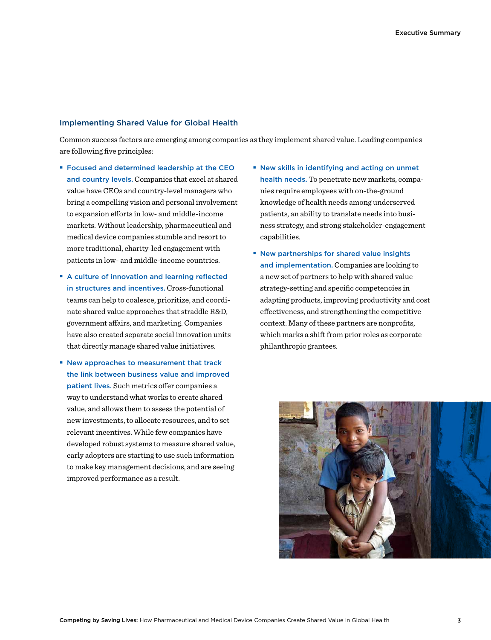#### Implementing Shared Value for Global Health

Common success factors are emerging among companies as they implement shared value. Leading companies are following five principles:

- **Focused and determined leadership at the CEO** and country levels. Companies that excel at shared value have CEOs and country-level managers who bring a compelling vision and personal involvement to expansion efforts in low- and middle-income markets. Without leadership, pharmaceutical and medical device companies stumble and resort to more traditional, charity-led engagement with patients in low- and middle-income countries.
- A culture of innovation and learning reflected in structures and incentives. Cross-functional teams can help to coalesce, prioritize, and coordinate shared value approaches that straddle R&D, government affairs, and marketing. Companies have also created separate social innovation units that directly manage shared value initiatives.
- **New approaches to measurement that track** the link between business value and improved patient lives. Such metrics offer companies a way to understand what works to create shared value, and allows them to assess the potential of new investments, to allocate resources, and to set relevant incentives. While few companies have developed robust systems to measure shared value, early adopters are starting to use such information to make key management decisions, and are seeing improved performance as a result.
- New skills in identifying and acting on unmet health needs. To penetrate new markets, companies require employees with on-the-ground knowledge of health needs among underserved patients, an ability to translate needs into business strategy, and strong stakeholder-engagement capabilities.
- **New partnerships for shared value insights** and implementation. Companies are looking to a new set of partners to help with shared value strategy-setting and specific competencies in adapting products, improving productivity and cost effectiveness, and strengthening the competitive context. Many of these partners are nonprofits, which marks a shift from prior roles as corporate philanthropic grantees.

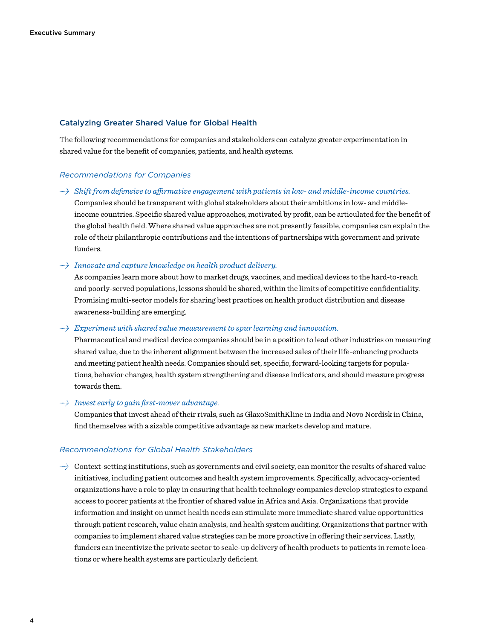#### Catalyzing Greater Shared Value for Global Health

The following recommendations for companies and stakeholders can catalyze greater experimentation in shared value for the benefit of companies, patients, and health systems.

#### *Recommendations for Companies*

*→ Shift from defensive to affirmative engagement with patients in low- and middle-income countries.* 

Companies should be transparent with global stakeholders about their ambitions in low- and middleincome countries. Specific shared value approaches, motivated by profit, can be articulated for the benefit of the global health field. Where shared value approaches are not presently feasible, companies can explain the role of their philanthropic contributions and the intentions of partnerships with government and private funders.

#### *→ Innovate and capture knowledge on health product delivery.*

As companies learn more about how to market drugs, vaccines, and medical devices to the hard-to-reach and poorly-served populations, lessons should be shared, within the limits of competitive confidentiality. Promising multi-sector models for sharing best practices on health product distribution and disease awareness-building are emerging.

#### *→ Experiment with shared value measurement to spur learning and innovation.*

Pharmaceutical and medical device companies should be in a position to lead other industries on measuring shared value, due to the inherent alignment between the increased sales of their life-enhancing products and meeting patient health needs. Companies should set, specific, forward-looking targets for populations, behavior changes, health system strengthening and disease indicators, and should measure progress towards them.

#### *→ Invest early to gain first-mover advantage.*

Companies that invest ahead of their rivals, such as GlaxoSmithKline in India and Novo Nordisk in China, find themselves with a sizable competitive advantage as new markets develop and mature.

#### *Recommendations for Global Health Stakeholders*

*→* Context-setting institutions, such as governments and civil society, can monitor the results of shared value initiatives, including patient outcomes and health system improvements. Specifically, advocacy-oriented organizations have a role to play in ensuring that health technology companies develop strategies to expand access to poorer patients at the frontier of shared value in Africa and Asia. Organizations that provide information and insight on unmet health needs can stimulate more immediate shared value opportunities through patient research, value chain analysis, and health system auditing. Organizations that partner with companies to implement shared value strategies can be more proactive in offering their services. Lastly, funders can incentivize the private sector to scale-up delivery of health products to patients in remote locations or where health systems are particularly deficient.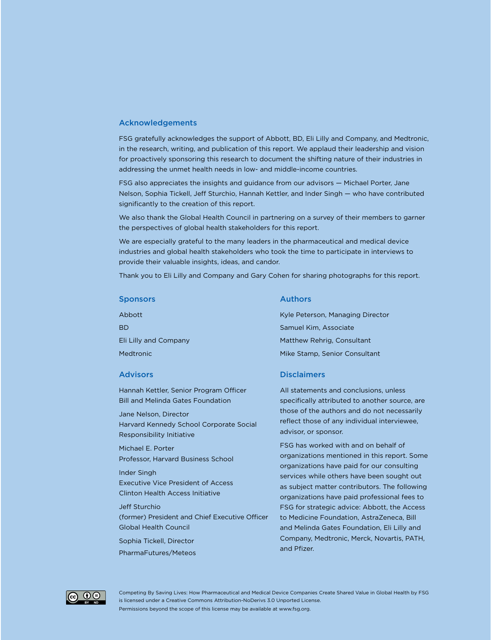#### Acknowledgements

FSG gratefully acknowledges the support of Abbott, BD, Eli Lilly and Company, and Medtronic, in the research, writing, and publication of this report. We applaud their leadership and vision for proactively sponsoring this research to document the shifting nature of their industries in addressing the unmet health needs in low- and middle-income countries.

FSG also appreciates the insights and guidance from our advisors — Michael Porter, Jane Nelson, Sophia Tickell, Jeff Sturchio, Hannah Kettler, and Inder Singh — who have contributed significantly to the creation of this report.

We also thank the Global Health Council in partnering on a survey of their members to garner the perspectives of global health stakeholders for this report.

We are especially grateful to the many leaders in the pharmaceutical and medical device industries and global health stakeholders who took the time to participate in interviews to provide their valuable insights, ideas, and candor.

Thank you to Eli Lilly and Company and Gary Cohen for sharing photographs for this report.

#### Sponsors

Abbott **BD** Eli Lilly and Company **Medtronic** 

#### Advisors

Hannah Kettler, Senior Program Officer Bill and Melinda Gates Foundation

Jane Nelson, Director Harvard Kennedy School Corporate Social Responsibility Initiative

Michael E. Porter Professor, Harvard Business School

Inder Singh Executive Vice President of Access Clinton Health Access Initiative

Jeff Sturchio

(former) President and Chief Executive Officer Global Health Council

Sophia Tickell, Director

PharmaFutures/Meteos

#### Authors

Kyle Peterson, Managing Director Samuel Kim, Associate Matthew Rehrig, Consultant Mike Stamp, Senior Consultant

#### **Disclaimers**

All statements and conclusions, unless specifically attributed to another source, are those of the authors and do not necessarily reflect those of any individual interviewee, advisor, or sponsor.

FSG has worked with and on behalf of organizations mentioned in this report. Some organizations have paid for our consulting services while others have been sought out as subject matter contributors. The following organizations have paid professional fees to FSG for strategic advice: Abbott, the Access to Medicine Foundation, AstraZeneca, Bill and Melinda Gates Foundation, Eli Lilly and Company, Medtronic, Merck, Novartis, PATH, and Pfizer.



[Competing By Saving Lives: How Pharmaceutical and Medical Device Companies Create Shared Value in Global Health by FSG](http://www.fsg.org/tabid/191/ArticleId/557/Default.aspx?srpush=true) is licensed under a [Creative Commons Attribution-NoDerivs 3.0 Unported License.](http://creativecommons.org/licenses/by-nd/3.0/)

Permissions beyond the scope of this license may be available at www.fsg.org.